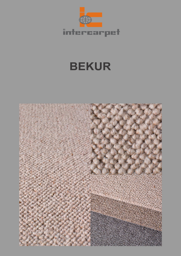

## **BEKUR**